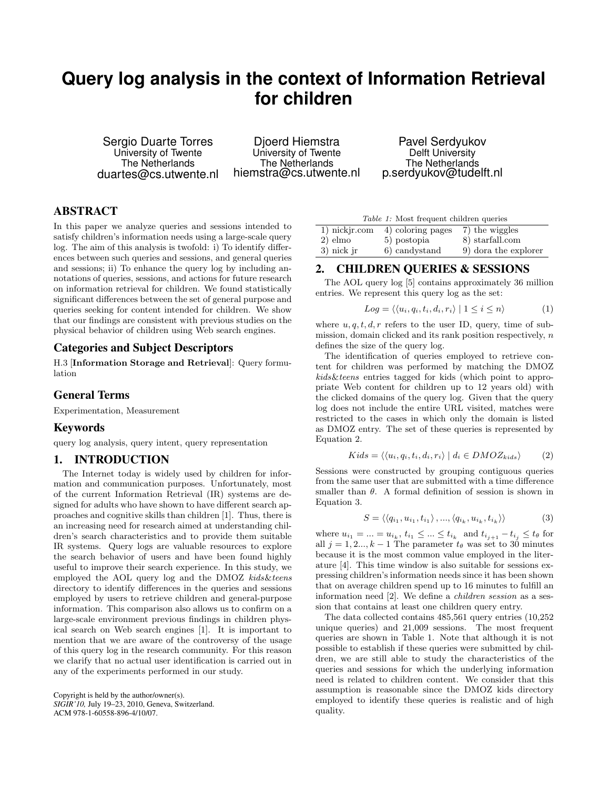# **Query log analysis in the context of Information Retrieval for children**

Sergio Duarte Torres University of Twente The Netherlands duartes@cs.utwente.nl

Djoerd Hiemstra University of Twente The Netherlands hiemstra@cs.utwente.nl

Pavel Serdyukov Delft University The Netherlands p.serdyukov@tudelft.nl

## **ABSTRACT**

In this paper we analyze queries and sessions intended to satisfy children's information needs using a large-scale query log. The aim of this analysis is twofold: i) To identify differences between such queries and sessions, and general queries and sessions; ii) To enhance the query log by including annotations of queries, sessions, and actions for future research on information retrieval for children. We found statistically significant differences between the set of general purpose and queries seeking for content intended for children. We show that our findings are consistent with previous studies on the physical behavior of children using Web search engines.

#### **Categories and Subject Descriptors**

H.3 [Information Storage and Retrieval]: Query formulation

#### **General Terms**

Experimentation, Measurement

#### **Keywords**

query log analysis, query intent, query representation

#### **1. INTRODUCTION**

The Internet today is widely used by children for information and communication purposes. Unfortunately, most of the current Information Retrieval (IR) systems are designed for adults who have shown to have different search approaches and cognitive skills than children [1]. Thus, there is an increasing need for research aimed at understanding children's search characteristics and to provide them suitable IR systems. Query logs are valuable resources to explore the search behavior of users and have been found highly useful to improve their search experience. In this study, we employed the AOL query log and the DMOZ kids&teens directory to identify differences in the queries and sessions employed by users to retrieve children and general-purpose information. This comparison also allows us to confirm on a large-scale environment previous findings in children physical search on Web search engines [1]. It is important to mention that we are aware of the controversy of the usage of this query log in the research community. For this reason we clarify that no actual user identification is carried out in any of the experiments performed in our study.

Copyright is held by the author/owner(s). *SIGIR'10,* July 19–23, 2010, Geneva, Switzerland. ACM 978-1-60558-896-4/10/07.

| <i>Table 1:</i> Most frequent children queries |                   |                      |
|------------------------------------------------|-------------------|----------------------|
| 1) nickjr.com                                  | 4) coloring pages | 7) the wiggles       |
| $2)$ elmo                                      | 5) postopia       | 8) starfall.com      |
| $3)$ nick jr                                   | 6) candystand     | 9) dora the explorer |

#### **2. CHILDREN QUERIES & SESSIONS**

The AOL query log [5] contains approximately 36 million entries. We represent this query log as the set:

$$
Log = \langle \langle u_i, q_i, t_i, d_i, r_i \rangle \mid 1 \le i \le n \rangle \tag{1}
$$

where  $u, q, t, d, r$  refers to the user ID, query, time of submission, domain clicked and its rank position respectively,  $n$ defines the size of the query log.

The identification of queries employed to retrieve content for children was performed by matching the DMOZ kids&teens entries tagged for kids (which point to appropriate Web content for children up to 12 years old) with the clicked domains of the query log. Given that the query log does not include the entire URL visited, matches were restricted to the cases in which only the domain is listed as DMOZ entry. The set of these queries is represented by Equation 2.

$$
Kids = \langle \langle u_i, q_i, t_i, d_i, r_i \rangle \mid d_i \in DMOZ_{kids} \rangle \tag{2}
$$

Sessions were constructed by grouping contiguous queries from the same user that are submitted with a time difference smaller than  $\theta$ . A formal definition of session is shown in Equation 3.

$$
S = \langle \langle q_{i_1}, u_{i_1}, t_{i_1} \rangle, ..., \langle q_{i_k}, u_{i_k}, t_{i_k} \rangle \rangle \tag{3}
$$

where  $u_{i_1} = \ldots = u_{i_k}, t_{i_1} \leq \ldots \leq t_{i_k}$  and  $t_{i_{j+1}} - t_{i_j} \leq t_{\theta}$  for all  $j = 1, 2, ..., k - 1$  The parameter  $t_{\theta}$  was set to 30 minutes because it is the most common value employed in the literature [4]. This time window is also suitable for sessions expressing children's information needs since it has been shown that on average children spend up to 16 minutes to fulfill an information need [2]. We define a children session as a session that contains at least one children query entry.

The data collected contains 485,561 query entries (10,252 unique queries) and 21,009 sessions. The most frequent queries are shown in Table 1. Note that although it is not possible to establish if these queries were submitted by children, we are still able to study the characteristics of the queries and sessions for which the underlying information need is related to children content. We consider that this assumption is reasonable since the DMOZ kids directory employed to identify these queries is realistic and of high quality.